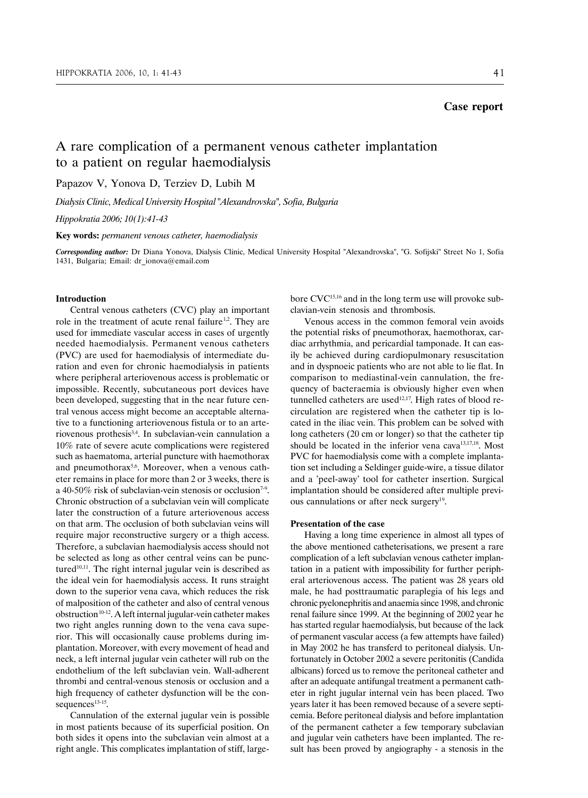# **Case report**

A rare complication of a permanent venous catheter implantation to a patient on regular haemodialysis

Papazov V, Yonova D, Terziev D, Lubih M

*Dialysis Clinic, Medical University Hospital "Alexandrovska", Sofia, Bulgaria*

*Çippokratia 2006; 10(1):41-43*

**Key words:** *permanent venous catheter, haemodialysis*

*Corresponding author:* Dr Diana Yonova, Dialysis Clinic, Medical University Hospital "Alexandrovska", "G. Sofijski" Street No 1, Sofia 1431, Bulgaria; Email: dr\_ionova@email.com

## **Introduction**

Central venous catheters (CVC) play an important role in the treatment of acute renal failure<sup>1,2</sup>. They are used for immediate vascular access in cases of urgently needed haemodialysis. Permanent venous catheters (PVC) are used for haemodialysis of intermediate duration and even for chronic haemodialysis in patients where peripheral arteriovenous access is problematic or impossible. Recently, subcutaneous port devices have been developed, suggesting that in the near future central venous access might become an acceptable alternative to a functioning arteriovenous fistula or to an arteriovenous prothesis3,4. In subclavian-vein cannulation a 10% rate of severe acute complications were registered such as haematoma, arterial puncture with haemothorax and pneumothorax<sup>5,6</sup>. Moreover, when a venous catheter remains in place for more than 2 or 3 weeks, there is a 40-50% risk of subclavian-vein stenosis or occlusion<sup>7-9</sup>. Chronic obstruction of a subclavian vein will complicate later the construction of a future arteriovenous access on that arm. The occlusion of both subclavian veins will require major reconstructive surgery or a thigh access. Therefore, a subclavian haemodialysis access should not be selected as long as other central veins can be punctured<sup>10,11</sup>. The right internal jugular vein is described as the ideal vein for haemodialysis access. It runs straight down to the superior vena cava, which reduces the risk of malposition of the catheter and also of central venous  $obstruction<sup>10-12</sup>$ . A left internal jugular-vein catheter makes two right angles running down to the vena cava superior. This will occasionally cause problems during implantation. Moreover, with every movement of head and neck, a left internal jugular vein catheter will rub on the endothelium of the left subclavian vein. Wall-adherent thrombi and central-venous stenosis or occlusion and a high frequency of catheter dysfunction will be the consequences<sup>13-15</sup>.

Cannulation of the external jugular vein is possible in most patients because of its superficial position. On both sides it opens into the subclavian vein almost at a right angle. This complicates implantation of stiff, largebore CVC15,16 and in the long term use will provoke subclavian-vein stenosis and thrombosis.

Venous access in the common femoral vein avoids the potential risks of pneumothorax, haemothorax, cardiac arrhythmia, and pericardial tamponade. It can easily be achieved during cardiopulmonary resuscitation and in dyspnoeic patients who are not able to lie flat. In comparison to mediastinal-vein cannulation, the frequency of bacteraemia is obviously higher even when tunnelled catheters are used<sup>12,17</sup>. High rates of blood recirculation are registered when the catheter tip is located in the iliac vein. This problem can be solved with long catheters (20 cm or longer) so that the catheter tip should be located in the inferior vena cava<sup>13,17,18</sup>. Most PVC for haemodialysis come with a complete implantation set including a Seldinger guide-wire, a tissue dilator and a 'peel-away' tool for catheter insertion. Surgical implantation should be considered after multiple previous cannulations or after neck surgery<sup>19</sup>.

### **Presentation of the case**

Having a long time experience in almost all types of the above mentioned catheterisations, we present a rare complication of a left subclavian venous catheter implantation in a patient with impossibility for further peripheral arteriovenous access. The patient was 28 years old male, he had posttraumatic paraplegia of his legs and chronic pyelonephritis and anaemia since 1998, and chronic renal failure since 1999. At the beginning of 2002 year he has started regular haemodialysis, but because of the lack of permanent vascular access (a few attempts have failed) in May 2002 he has transferd to peritoneal dialysis. Unfortunately in October 2002 a severe peritonitis (Candida albicans) forced us to remove the peritoneal catheter and after an adequate antifungal treatment a permanent catheter in right jugular internal vein has been placed. Two years later it has been removed because of a severe septicemia. Before peritoneal dialysis and before implantation of the permanent catheter a few temporary subclavian and jugular vein catheters have been implanted. The result has been proved by angiography - a stenosis in the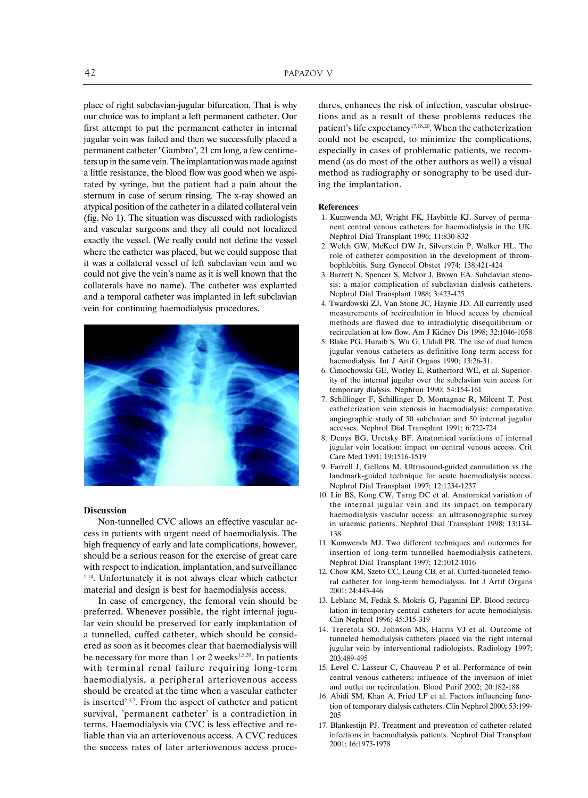place of right subclavian-jugular bifurcation. That is why our choice was to implant a left permanent catheter. Our first attempt to put the permanent catheter in internal jugular vein was failed and then we successfully placed a permanent catheter "Gambro", 21 cm long, a few centimeters up in the same vein. The implantation was made against a little resistance, the blood flow was good when we aspirated by syringe, but the patient had a pain about the sternum in case of serum rinsing. The x-ray showed an atypical position of the catheter in a dilated collateral vein (fig. No 1). The situation was discussed with radiologists and vascular surgeons and they all could not localized exactly the vessel. (We really could not define the vessel where the catheter was placed, but we could suppose that it was a collateral vessel of left subclavian vein and we could not give the vein's name as it is well known that the collaterals have no name). The catheter was explanted and a temporal catheter was implanted in left subclavian vein for continuing haemodialysis procedures.



### **Discussion**

Non-tunnelled CVC allows an effective vascular access in patients with urgent need of haemodialysis. The high frequency of early and late complications, however, should be a serious reason for the exercise of great care with respect to indication, implantation, and surveillance 1,14. Unfortunately it is not always clear which catheter material and design is best for haemodialysis access.

In case of emergency, the femoral vein should be preferred. Whenever possible, the right internal jugular vein should be preserved for early implantation of a tunnelled, cuffed catheter, which should be considered as soon as it becomes clear that haemodialysis will be necessary for more than  $1$  or  $2$  weeks<sup>1,5,20</sup>. In patients with terminal renal failure requiring long-term haemodialysis, a peripheral arteriovenous access should be created at the time when a vascular catheter is inserted2,3,7. From the aspect of catheter and patient survival, 'permanent catheter' is a contradiction in terms. Haemodialysis via CVC is less effective and reliable than via an arteriovenous access. A CVC reduces the success rates of later arteriovenous access procedures, enhances the risk of infection, vascular obstructions and as a result of these problems reduces the patient's life expectancy<sup>17,18,20</sup>. When the catheterization could not be escaped, to minimize the complications, especially in cases of problematic patients, we recommend (as do most of the other authors as well) a visual method as radiography or sonography to be used during the implantation.

#### **References**

- 1. Kumwenda MJ, Wright FK, Haybittle KJ. Survey of permanent central venous catheters for haemodialysis in the UK. Nephrol Dial Transplant 1996; 11:830-832
- 2. Welch GW, McKeel DW Jr, Silverstein P, Walker HL. The role of catheter composition in the development of thrombophlebitis. Surg Gynecol Obstet 1974; 138:421-424
- 3. Barrett N, Spencer S, McIvor J, Brown EA. Subclavian stenosis: a major complication of subclavian dialysis catheters. Nephrol Dial Transplant 1988; 3:423-425
- 4. Twardowski ZJ, Van Stone JC, Haynie JD. All currently used measurements of recirculation in blood access by chemical methods are flawed due to intradialytic disequilibrium or recirculation at low flow. Am J Kidney Dis 1998; 32:1046-1058
- 5. Blake PG, Huraib S, Wu G, Uldall PR. The use of dual lumen jugular venous catheters as definitive long term access for haemodialysis. Int J Artif Organs 1990; 13:26-31.
- 6. Cimochowski GE, Worley E, Rutherford WE, et al. Superiority of the internal jugular over the subclavian vein access for temporary dialysis. Nephron 1990; 54:154-161
- 7. Schillinger F, Schillinger D, Montagnac R, Milcent T. Post catheterization vein stenosis in haemodialysis: comparative angiographic study of 50 subclavian and 50 internal jugular accesses. Nephrol Dial Transplant 1991; 6:722-724
- 8. Denys BG, Uretsky BF. Anatomical variations of internal jugular vein location: impact on central venous access. Crit Care Med 1991; 19:1516-1519
- 9. Farrell J, Gellens M. Ultrasound-guided cannulation vs the landmark-guided technique for acute haemodialysis access. Nephrol Dial Transplant 1997; 12:1234-1237
- 10. Lin BS, Kong CW, Tarng DC et al. Anatomical variation of the internal jugular vein and its impact on temporary haemodialysis vascular access: an ultrasonographic survey in uraemic patients. Nephrol Dial Transplant 1998; 13:134- 138
- 11. Kumwenda MJ. Two different techniques and outcomes for insertion of long-term tunnelled haemodialysis catheters. Nephrol Dial Transplant 1997; 12:1012-1016
- 12. Chow KM, Szeto CC, Leung CB, et al. Cuffed-tunneled femoral catheter for long-term hemodialysis. Int J Artif Organs 2001; 24:443-446
- 13. Leblanc M, Fedak S, Mokris G, Paganini EP. Blood recirculation in temporary central catheters for acute hemodialysis. Clin Nephrol 1996; 45:315-319
- 14. Treretola SO, Johnson MS, Harris VJ et al. Outcome of tunneled hemodialysis catheters placed via the right internal jugular vein by interventional radiologists. Radiology 1997; 203:489-495
- 15. Level C, Lasseur C, Chauveau P et al. Performance of twin central venous catheters: influence of the inversion of inlet and outlet on recirculation. Blood Purif 2002; 20:182-188
- 16. Abidi SM, Khan A, Fried LF et al. Factors influencing function of temporary dialysis catheters. Clin Nephrol 2000; 53:199- 205
- 17. Blankestijn PJ. Treatment and prevention of catheter-related infections in haemodialysis patients. Nephrol Dial Transplant 2001; 16:1975-1978